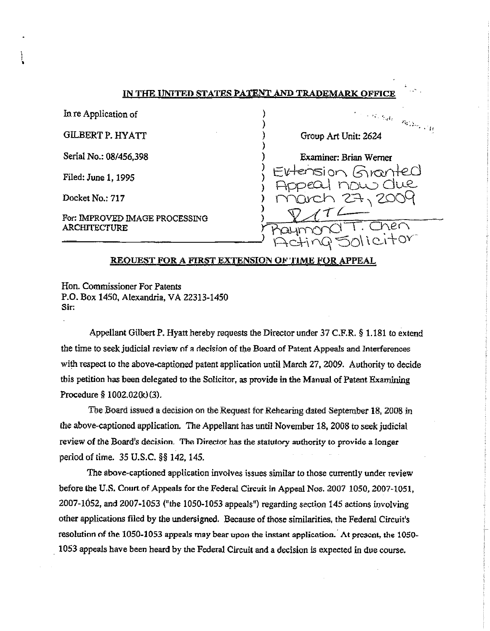In re Application of

**GILBERT P. HYATT** 

Serial No.: 08/456,398

Filed: June 1, 1995

Docket No.: 717

For: IMPROVED IMAGE PROCESSING **ARCHITECTURE** 



#### REQUEST FOR A FIRST EXTENSION OF TIME FOR APPEAL

Hon. Commissioner For Patents P.O. Box 1450, Alexandria, VA 22313-1450 Sir:

Appellant Gilbert P. Hyatt hereby requests the Director under 37 C.F.R. § 1.181 to extend the time to seek judicial review of a decision of the Board of Patent Appeals and Interferences with respect to the above-captioned patent application until March 27, 2009. Authority to decide this petition has been delegated to the Solicitor, as provide in the Manual of Patent Examining Procedure § 1002.02(k)(3).

The Board issued a decision on the Request for Rehearing dated September 18, 2008 in the above-captioned application. The Appellant has until November 18, 2008 to seek judicial review of the Board's decision. The Director has the statutory authority to provide a longer period of time. 35 U.S.C. §§ 142, 145.

The above-captioned application involves issues similar to those currently under review before the U.S. Court of Appeals for the Federal Circuit in Appeal Nos. 2007 1050, 2007-1051, 2007-1052, and 2007-1053 ("the 1050-1053 appeals") regarding section 145 actions involving other applications filed by the undersigned. Because of those similarities, the Federal Circuit's resolution of the 1050-1053 appeals may bear upon the instant application. At present, the 1050-1053 appeals have been heard by the Federal Circuit and a decision is expected in due course.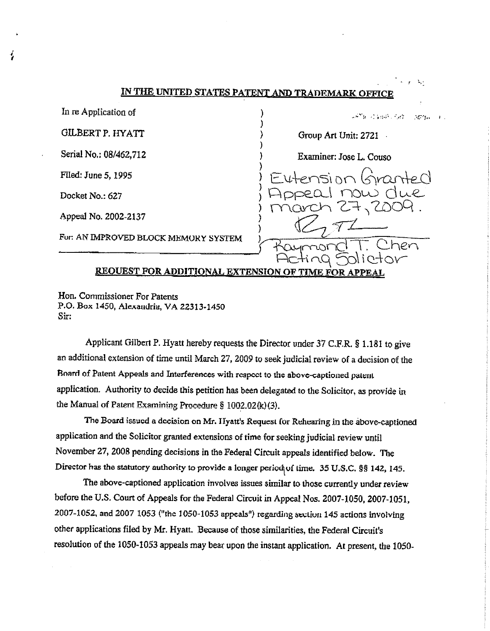| $\sim$ - $\sim$ - $\sim$<br><u>IN THE UNITED STATES PATENT AND TRADEMARK OFFICE</u> |                         |
|-------------------------------------------------------------------------------------|-------------------------|
| In re Application of                                                                | 网络无线轴的 化维生素酸            |
| <b>GILBERT P. HYATT</b>                                                             | Group Art Unit: 2721    |
| Serial No.: 08/462,712                                                              | Examiner: Jose L. Couso |
| Filed: June 5, 1995                                                                 | Eutension Granted       |
| Docket No.: 627                                                                     | noui due                |
| Appeal No. 2002-2137                                                                | march 27, 200           |
| For: AN IMPROVED BLOCK MEMORY SYSTEM                                                |                         |
|                                                                                     |                         |
| <b>REQUEST FOR ADDITIONAL EXTENSION OF TIME FOR APPEAL</b>                          |                         |

Hon. Commissioner For Patents P.O. Box 1450, Alexandria, VA 22313-1450 Sir:

Applicant Gilbert P. Hyatt hereby requests the Director under 37 C.F.R. § 1.181 to give an additional extension of time until March 27, 2009 to seek judicial review of a decision of the Roard of Patent Appeals and Interferences with respect to the above-captioned patent application. Authority to decide this petition has been delegated to the Solicitor, as provide in the Manual of Patent Examining Procedure § 1002.02(k)(3).

The Board issued a decision on Mr. Hyatt's Request for Rehearing in the above-captioned application and the Solicitor granted extensions of time for seeking judicial review until November 27, 2008 pending decisions in the Federal Circuit appeals identified below. The Director has the statutory authority to provide a longer period of time. 35 U.S.C. §§ 142, 145.

The above-captioned application involves issues similar to those currently under review before the U.S. Court of Appeals for the Federal Circuit in Appeal Nos. 2007-1050, 2007-1051, 2007-1052, and 2007 1053 ("the 1050-1053 appeals") regarding section 145 actions involving other applications filed by Mr. Hyatt. Because of those similarities, the Federal Circuit's resolution of the 1050-1053 appeals may bear upon the instant application. *At* present, the 1050-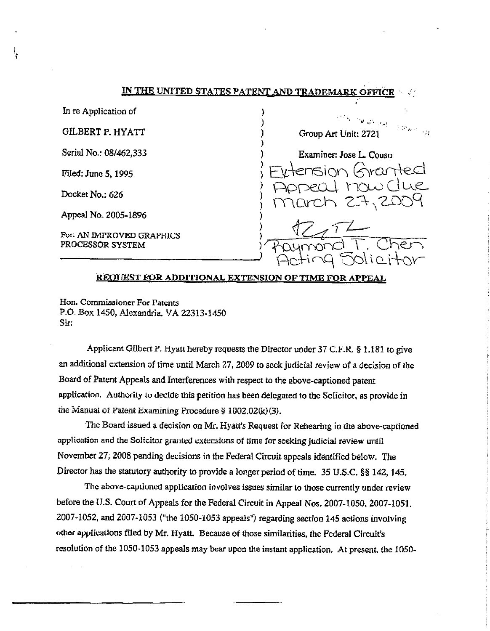) .

) ) ) )

In re Application of

l

GILBERT P. HYATT

Serial No.: 08/462,333

Filed: June 5, 1995

Docket No.: 626

Appeal No. 2005-1896

Fur: AN IMPROVED GRAPHICS PROCESSOR SYSTEM FOT: AN IMPROVED GRAPHICS<br>PROCESSOR SYSTEM ) FOLYMONO T. Chen

 $H_{\rm{max}}$  .  $\sim$ Group Art Unit: 2721 ) Examiner: Jose L. Couso

 $\sum_{i=1}^{N}$  Eytension Granted

) Appeal now Clue

 $27,21$ 

**RROlJEST FOR ADDITIONAL EXTENSION OFTJME FOR APPEAL** 

**Hon. Cornmissioner For Patents**  P.O. Box 1450, Alexandria, VA 22313-1450 Sir:

Applicant Gilbert P. Hyalt hereby requests the Director under  $37$  C.F.K. § 1.181 to give an additional extension of time until March 27, 2009 to seek judicial review of a decision of the Board of Patent Appeals and Interferences with respect to the above-captioned patent application. Authority to decide this petition has been delegated to the Solicitor, as provide in the Manual of Patent Examining Procedure § l002.02(k)(3).

The Board issued a decision on Mr. Hyatt's Request for Rehearing in the above-captioned application and the Solicitor granted extensions of time for seeking judicial review until Novembec 27, 2008 pending decisions in the Federal Circuit appeals identified below. The Director has the statutory authority to provide a longer period of time. 35 U.S.C. §§ 142, 145.

The above-captiuned application involves issues Similar to those currently under review before the U.S. Court of Appeals for the Federal Circuit in Appeal Nos. 2007-1050, 2007-1051. 2007-1052, and 2007-1053 ("the 1050-1053 appeals") regarding section 145 actions involving other applications filed by Mr. Hyatt. Because of those similarities, the Federal Circuit's resolution of the 1050-1053 appeals may bear upon the instant application. At present. the l 050-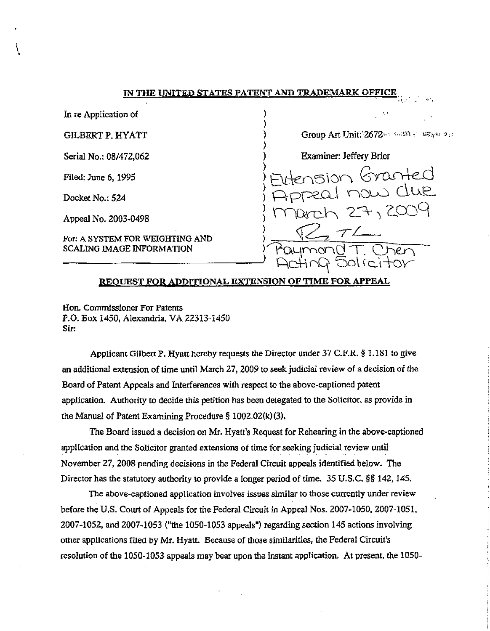) )

)

In re Application of

**GILBERT P. HYATT** 

Serial No.: 08/472,062

Filed: June 6, 1995

Docket No.: 524

Appeal No. 2003-0498

For: A SYSTEM FOR WEIGHTING AND

) Group Art Unit:'·2672", •;.,;,;n, *u,,,(''* ·> ,,

 $\frac{1}{2}$ ,  $\frac{1}{2}$ ,  $\frac{1}{2}$ ,  $\frac{1}{2}$ ,  $\frac{1}{2}$ 

) Examiner: Jeffery Brier

) *r,* . \  $E\in\mathbb{R}$  filtension Granteu eal now due  $-7,200$  $R$ - $R$ - $7L$ SCALING IMAGE INFORMATION PROYMOND T. Chen

# **REQUEST FOR ADDITIONAL EXTENSION OF TIME FOR APPEAL**

Hon. Commissioner For Patents P.O. Box 1450, Alexandria, VA 22313-1450 Sir:

Applicant Gilbert P. Hyatt hereby requests the Director under  $3/$  C.F.R. § 1.181 to give an additional extension of time until March 27, 2009 to seek judicial review of a decision of the Board of Patent Appeals and Interferences with respect to the above-captioned patent application. Authority to decide this petition has been delegated to the Solicitor, as provide in the Manual of Patent Examining Procedure § 1002,02(k)(3).

The Board issued a decision on Mr. Hyatt's Request for Rehearing in the above-captioned application and the Solicitor granted extensions of time for seeking judicial review until November 27, 2008 pending decisions in the Federal Cfrcuit appeals identified below. The Director has the statutory authority to provide a longer period of time. 35 U.S.C. §§ 142, 145.

The above-captioned application involves issues similar to those currently under review before the U.S. Court of Appeals for the Federal Circuit in Appeal Nos. 2007-1050, 2007-1051. 2007-1052, and 2007-1053 ("the 1050-1053 appeals") regarding section 145 actions involving other applications filed by Mr. Hyatt. Because of those similarities, the Federal Circuit's resolution of the 1050-1053 appeals may bear upon the instant application, At present, the 1050-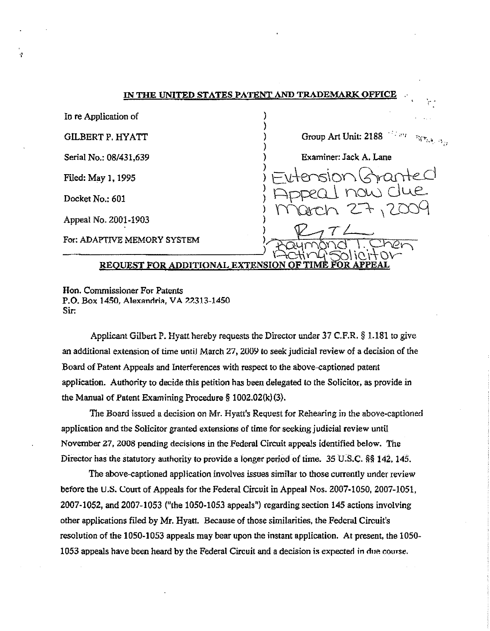| In re Application of        |                                                          |
|-----------------------------|----------------------------------------------------------|
| <b>GILBERT P. HYATT</b>     | i i kant i nge <sub>nda ng</sub><br>Group Art Unit: 2188 |
| Serial No.: 08/431,639      | Examiner: Jack A. Lane                                   |
| Filed: May 1, 1995          | Eutension Granted                                        |
| Docket No.: 601             |                                                          |
| Appeal No. 2001-1903        | Dech 27,200                                              |
| For: ADAPTIVE MEMORY SYSTEM |                                                          |
|                             | REQUEST FOR ADDITIONAL EXTENSION OF TIME FOR APPEAL      |

Hon. Commissioner For Patents P.O. Box 1450, Alexandria, VA 22313-1450 Sir:

Applicant Gilbert P. Hyatt hereby requests the Director under 37 C.F.R. § 1.181 to give an additional extension of time until March 27, 2009 to seek judicial review of a decision of the Board of Patent Appeals and Interferences with respect to the above-captioned patent application. Authority to decide this petition has been delegated to the Solicitor, as provide in the Manual of Patent Examining Procedure  $\S$  1002.02(k)(3).

The Board issued a decision on Mr. Hyatt's Request for Rehearing in the above-captioned application and the Solicitor granted extensions of time for seeking judicial review until November 27, 2008 pending decisions in the Federal Circuit appeals identified below. The Director has the statutory authority to provide a longer period of time. 35 U.S.C. \$\$ 142, 145.

The above-captioned application involves issues similar to those currently under review before the U.S. Court of Appeals for the Federal Circuit in Appeal Nos. 2007-1050, 2007-1051, 2007-1052, and 2007-1053 ("the 1050-1053 appeals") regarding section 145 actions involving other applications filed by Mr. Hyatt. Because of those similarities, the Federal Circuit's resolution of the 1050-1053 appeals may bear upon the instant application. At present, the 1050-1053 appeals have been heard by the Federal Circuit and a decision is expected in due course.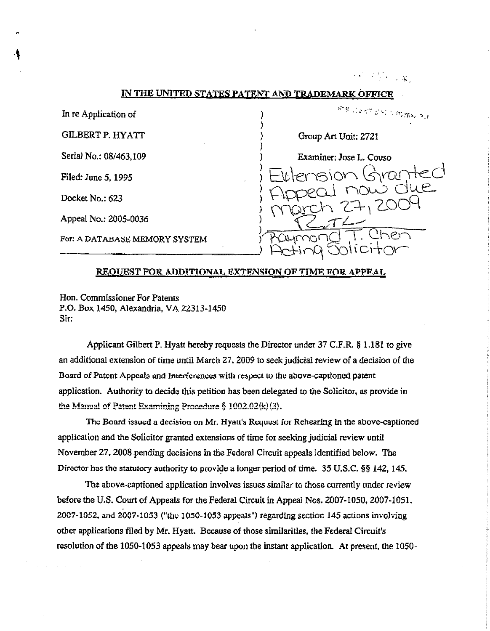$\mathcal{N}^{\mathcal{F}}$  , where  $\mathcal{N}$ 

## IN THE UNITED STATES PATENT AND TRADEMARK OFFI

In re Application of

**GILBERT P. HYATT** 

Serial No.: 08/463,109

Filed: June 5, 1995

Docket No.: 623

Appeal No.: 2005-0036

For: A DATABASE MEMORY SYSTEM

878 - 28.57 5.57 5.57 5.56 0 3 3 Group Art Unit: 2721 Examiner: Jose L. Couso

#### **REQUEST FOR ADDITIONAL EXTENSION OF TIME FOR APPEAL**

Hon. Commissioner For Patents P.O. Box 1450, Alexandria, VA 22313-1450 Sir:

Applicant Gilbert P. Hyatt hereby requests the Director under 37 C.F.R. § 1.181 to give an additional extension of time until March 27, 2009 to seek judicial review of a decision of the Board of Patent Appeals and Interferences with respect to the above-captioned patent application. Authority to decide this petition has been delegated to the Solicitor, as provide in the Manual of Patent Examining Procedure  $\S$  1002.02(k)(3).

The Board issued a decision on Mr. Hyatt's Request for Rehearing in the above-captioned application and the Solicitor granted extensions of time for seeking judicial review until November 27, 2008 pending decisions in the Federal Circuit appeals identified below. The Director has the statutory authority to provide a longer period of time. 35 U.S.C. §§ 142, 145.

The above-captioned application involves issues similar to those currently under review before the U.S. Court of Appeals for the Federal Circuit in Appeal Nos. 2007-1050, 2007-1051, 2007-1052, and 2007-1053 ("the 1050-1053 appeals") regarding section 145 actions involving other applications filed by Mr. Hyatt. Because of those similarities, the Federal Circuit's resolution of the 1050-1053 appeals may bear upon the instant application. At present, the 1050-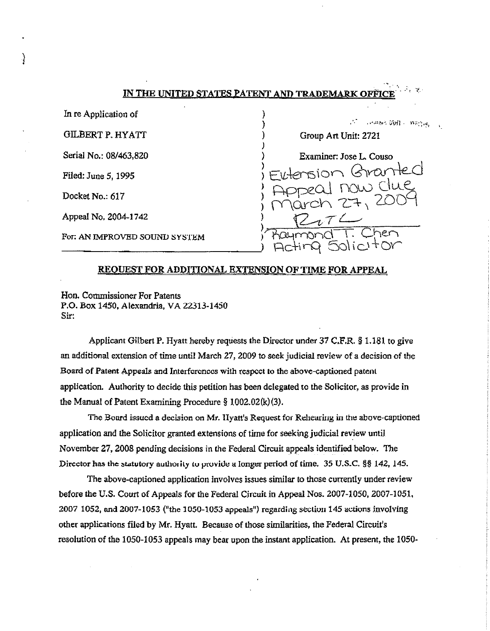In re Application of

**GILBERT P. HYATT** 

Serial No.: 08/463,820

Filed: June 5, 1995

Docket No.: 617

Appeal No. 2004-1742

For: AN IMPROVED SOUND SYSTEM

mand 2011 Bread Group Art Unit: 2721 Examiner: Jose L. Couso manter  $\prec$ 

# REOUEST FOR ADDITIONAL EXTENSION OF TIME FOR APPEAL

Hon. Commissioner For Patents P.O. Box 1450, Alexandria, VA 22313-1450 Sir:

Applicant Gilbert P. Hyatt hereby requests the Director under 37 C.F.R. § 1.181 to give an additional extension of time until March 27, 2009 to seek judicial review of a decision of the Board of Patent Appeals and Interferences with respect to the above-captioned patent application. Authority to decide this petition has been delegated to the Solicitor, as provide in the Manual of Patent Examining Procedure  $\S$  1002.02(k)(3).

The Board issued a decision on Mr. IIyatt's Request for Rehearing in the above-captioned application and the Solicitor granted extensions of time for seeking judicial review until November 27, 2008 pending decisions in the Federal Circuit appeals identified below. The Director has the statutory authority to provide a longer period of time. 35 U.S.C. §§ 142, 145.

The above-captioned application involves issues similar to those currently under review before the U.S. Court of Appeals for the Federal Circuit in Appeal Nos. 2007-1050, 2007-1051, 2007 1052, and 2007-1053 ("the 1050-1053 appeals") regarding section 145 actions involving other applications filed by Mr. Hyatt. Because of those similarities, the Federal Circuit's resolution of the 1050-1053 appeals may bear upon the instant application. At present, the 1050-